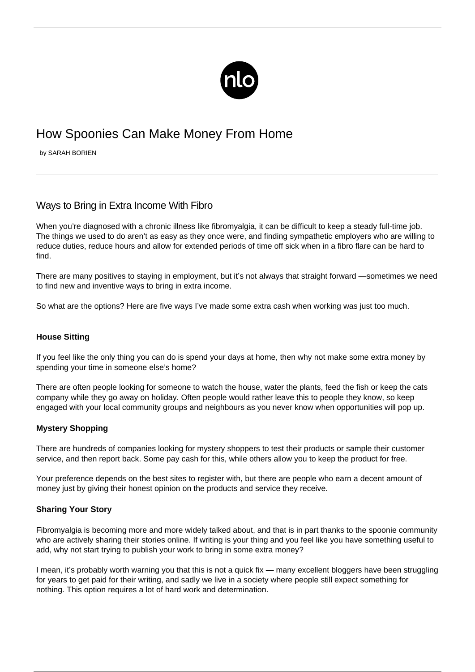

# How Spoonies Can Make Money From Home

by SARAH BORIEN

## Ways to Bring in Extra Income With Fibro

When you're diagnosed with a chronic illness like fibromyalgia, it can be difficult to keep a steady full-time job. The things we used to do aren't as easy as they once were, and finding sympathetic employers who are willing to reduce duties, reduce hours and allow for extended periods of time off sick when in a [fibro flare](/flare-up/) can be hard to find.

There are many positives to staying in employment, but it's not always that straight forward —sometimes we need to find new and inventive ways to bring in extra income.

So what are the options? Here are five ways I've made some extra cash when working was just too much.

### **House Sitting**

If you feel like the only thing you can do is spend your days at home, then why not make some extra money by spending your time in someone else's home?

There are often people looking for someone to watch the house, water the plants, feed the fish or keep the cats company while they go away on holiday. Often people would rather leave this to people they know, so keep engaged with your local community groups and neighbours as you never know when opportunities will pop up.

#### **Mystery Shopping**

There are hundreds of companies looking for mystery shoppers to test their products or sample their customer service, and then report back. Some pay cash for this, while others allow you to keep the product for free.

Your preference depends on the best sites to register with, but there are people who earn a decent amount of money just by giving their honest opinion on the products and service they receive.

#### **Sharing Your Story**

Fibromyalgia is becoming more and more widely talked about, and that is in part thanks to the spoonie community who are actively sharing their stories online. If writing is your thing and you feel like you have something useful to add, why not start trying to publish your work to bring in some extra money?

I mean, it's probably worth warning you that this is not a quick fix — many excellent bloggers have been struggling for years to get paid for their writing, and sadly we live in a society where people still expect something for nothing. This option requires a lot of hard work and determination.